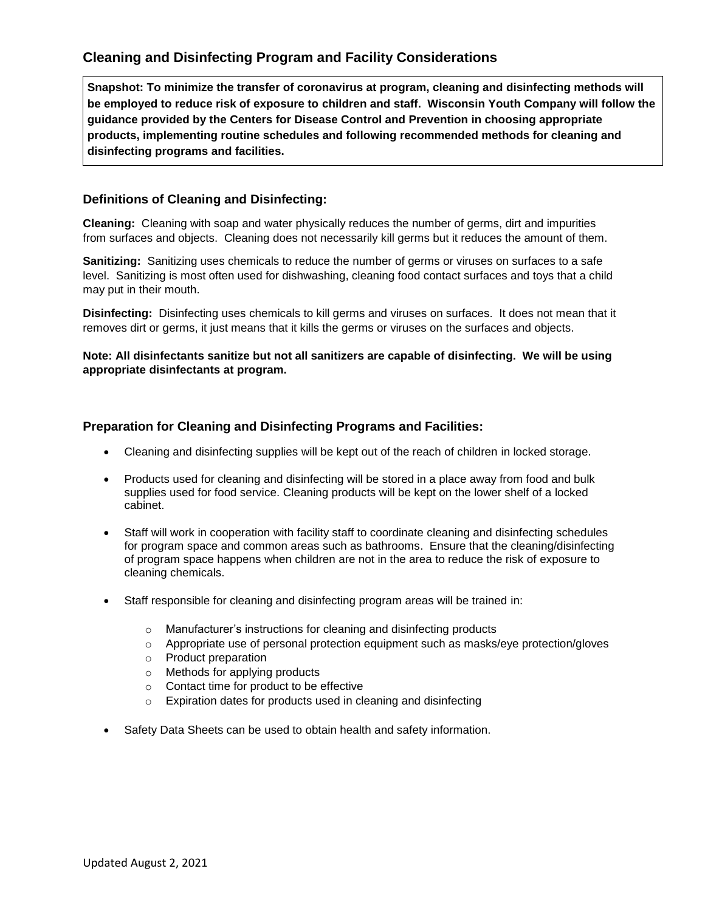## **Cleaning and Disinfecting Program and Facility Considerations**

**Snapshot: To minimize the transfer of coronavirus at program, cleaning and disinfecting methods will be employed to reduce risk of exposure to children and staff. Wisconsin Youth Company will follow the guidance provided by the Centers for Disease Control and Prevention in choosing appropriate products, implementing routine schedules and following recommended methods for cleaning and disinfecting programs and facilities.**

### **Definitions of Cleaning and Disinfecting:**

**Cleaning:** Cleaning with soap and water physically reduces the number of germs, dirt and impurities from surfaces and objects. Cleaning does not necessarily kill germs but it reduces the amount of them.

**Sanitizing:** Sanitizing uses chemicals to reduce the number of germs or viruses on surfaces to a safe level. Sanitizing is most often used for dishwashing, cleaning food contact surfaces and toys that a child may put in their mouth.

**Disinfecting:** Disinfecting uses chemicals to kill germs and viruses on surfaces. It does not mean that it removes dirt or germs, it just means that it kills the germs or viruses on the surfaces and objects.

### **Note: All disinfectants sanitize but not all sanitizers are capable of disinfecting. We will be using appropriate disinfectants at program.**

### **Preparation for Cleaning and Disinfecting Programs and Facilities:**

- Cleaning and disinfecting supplies will be kept out of the reach of children in locked storage.
- Products used for cleaning and disinfecting will be stored in a place away from food and bulk supplies used for food service. Cleaning products will be kept on the lower shelf of a locked cabinet.
- Staff will work in cooperation with facility staff to coordinate cleaning and disinfecting schedules for program space and common areas such as bathrooms. Ensure that the cleaning/disinfecting of program space happens when children are not in the area to reduce the risk of exposure to cleaning chemicals.
- Staff responsible for cleaning and disinfecting program areas will be trained in:
	- o Manufacturer's instructions for cleaning and disinfecting products
	- $\circ$  Appropriate use of personal protection equipment such as masks/eye protection/gloves
	- o Product preparation
	- o Methods for applying products
	- o Contact time for product to be effective
	- o Expiration dates for products used in cleaning and disinfecting
- Safety Data Sheets can be used to obtain health and safety information.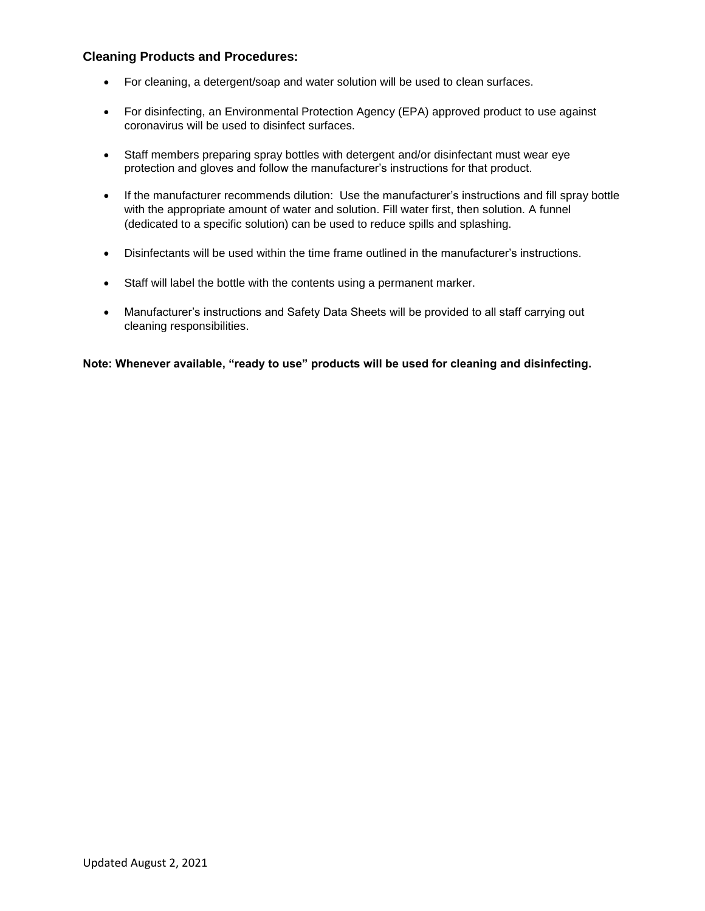### **Cleaning Products and Procedures:**

- For cleaning, a detergent/soap and water solution will be used to clean surfaces.
- For disinfecting, an Environmental Protection Agency (EPA) approved product to use against coronavirus will be used to disinfect surfaces.
- Staff members preparing spray bottles with detergent and/or disinfectant must wear eye protection and gloves and follow the manufacturer's instructions for that product.
- If the manufacturer recommends dilution: Use the manufacturer's instructions and fill spray bottle with the appropriate amount of water and solution. Fill water first, then solution. A funnel (dedicated to a specific solution) can be used to reduce spills and splashing.
- Disinfectants will be used within the time frame outlined in the manufacturer's instructions.
- Staff will label the bottle with the contents using a permanent marker.
- Manufacturer's instructions and Safety Data Sheets will be provided to all staff carrying out cleaning responsibilities.

**Note: Whenever available, "ready to use" products will be used for cleaning and disinfecting.**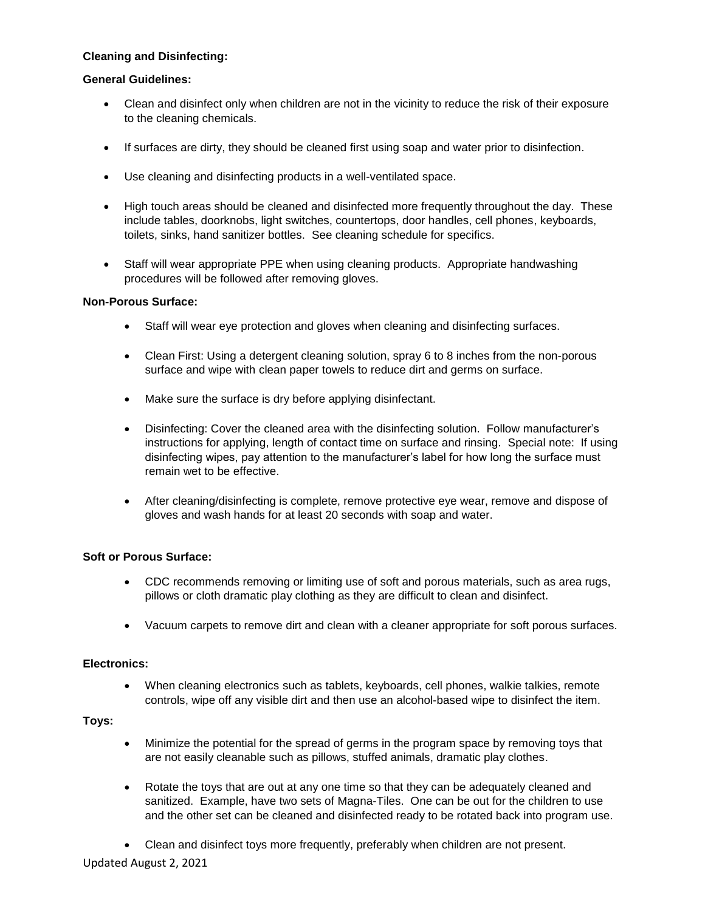#### **Cleaning and Disinfecting:**

### **General Guidelines:**

- Clean and disinfect only when children are not in the vicinity to reduce the risk of their exposure to the cleaning chemicals.
- If surfaces are dirty, they should be cleaned first using soap and water prior to disinfection.
- Use cleaning and disinfecting products in a well-ventilated space.
- High touch areas should be cleaned and disinfected more frequently throughout the day. These include tables, doorknobs, light switches, countertops, door handles, cell phones, keyboards, toilets, sinks, hand sanitizer bottles. See cleaning schedule for specifics.
- Staff will wear appropriate PPE when using cleaning products. Appropriate handwashing procedures will be followed after removing gloves.

#### **Non-Porous Surface:**

- Staff will wear eye protection and gloves when cleaning and disinfecting surfaces.
- Clean First: Using a detergent cleaning solution, spray 6 to 8 inches from the non-porous surface and wipe with clean paper towels to reduce dirt and germs on surface.
- Make sure the surface is dry before applying disinfectant.
- Disinfecting: Cover the cleaned area with the disinfecting solution. Follow manufacturer's instructions for applying, length of contact time on surface and rinsing. Special note: If using disinfecting wipes, pay attention to the manufacturer's label for how long the surface must remain wet to be effective.
- After cleaning/disinfecting is complete, remove protective eye wear, remove and dispose of gloves and wash hands for at least 20 seconds with soap and water.

#### **Soft or Porous Surface:**

- CDC recommends removing or limiting use of soft and porous materials, such as area rugs, pillows or cloth dramatic play clothing as they are difficult to clean and disinfect.
- Vacuum carpets to remove dirt and clean with a cleaner appropriate for soft porous surfaces.

#### **Electronics:**

 When cleaning electronics such as tablets, keyboards, cell phones, walkie talkies, remote controls, wipe off any visible dirt and then use an alcohol-based wipe to disinfect the item.

#### **Toys:**

- Minimize the potential for the spread of germs in the program space by removing toys that are not easily cleanable such as pillows, stuffed animals, dramatic play clothes.
- Rotate the toys that are out at any one time so that they can be adequately cleaned and sanitized. Example, have two sets of Magna-Tiles. One can be out for the children to use and the other set can be cleaned and disinfected ready to be rotated back into program use.
- Clean and disinfect toys more frequently, preferably when children are not present.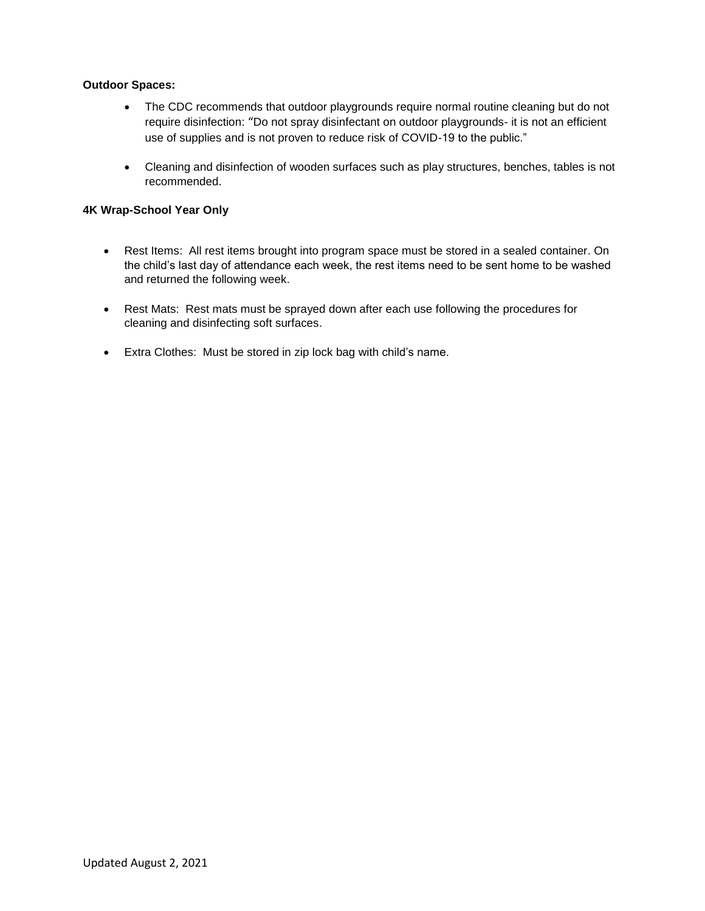#### **Outdoor Spaces:**

- The CDC recommends that outdoor playgrounds require normal routine cleaning but do not require disinfection: "Do not spray disinfectant on outdoor playgrounds- it is not an efficient use of supplies and is not proven to reduce risk of COVID-19 to the public."
- Cleaning and disinfection of wooden surfaces such as play structures, benches, tables is not recommended.

### **4K Wrap-School Year Only**

- Rest Items: All rest items brought into program space must be stored in a sealed container. On the child's last day of attendance each week, the rest items need to be sent home to be washed and returned the following week.
- Rest Mats: Rest mats must be sprayed down after each use following the procedures for cleaning and disinfecting soft surfaces.
- Extra Clothes: Must be stored in zip lock bag with child's name.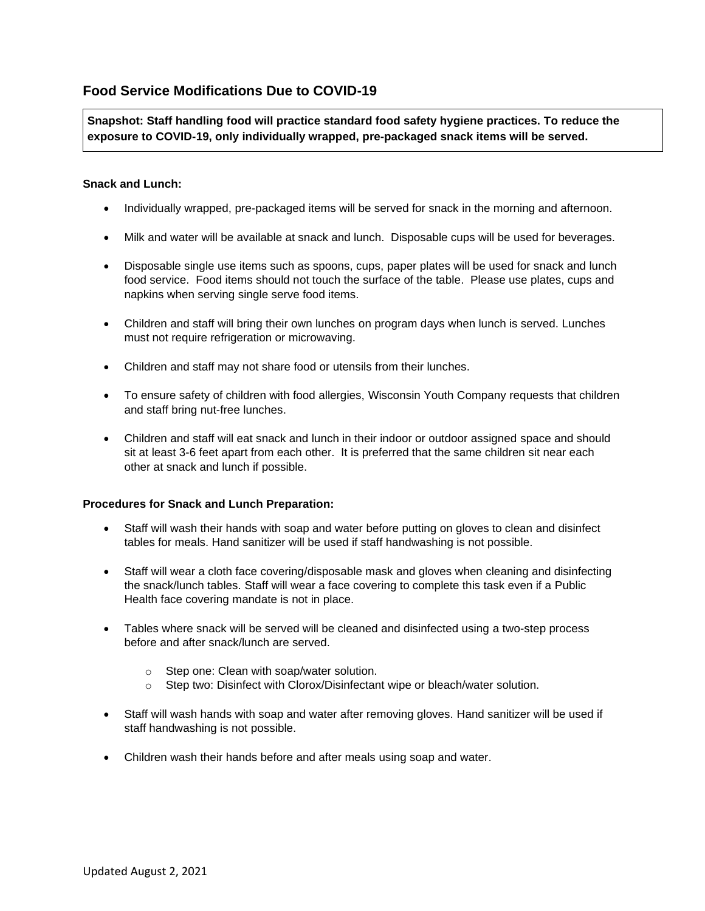## **Food Service Modifications Due to COVID-19**

**Snapshot: Staff handling food will practice standard food safety hygiene practices. To reduce the exposure to COVID-19, only individually wrapped, pre-packaged snack items will be served.**

### **Snack and Lunch:**

- Individually wrapped, pre-packaged items will be served for snack in the morning and afternoon.
- Milk and water will be available at snack and lunch. Disposable cups will be used for beverages.
- Disposable single use items such as spoons, cups, paper plates will be used for snack and lunch food service. Food items should not touch the surface of the table. Please use plates, cups and napkins when serving single serve food items.
- Children and staff will bring their own lunches on program days when lunch is served. Lunches must not require refrigeration or microwaving.
- Children and staff may not share food or utensils from their lunches.
- To ensure safety of children with food allergies, Wisconsin Youth Company requests that children and staff bring nut-free lunches.
- Children and staff will eat snack and lunch in their indoor or outdoor assigned space and should sit at least 3-6 feet apart from each other. It is preferred that the same children sit near each other at snack and lunch if possible.

#### **Procedures for Snack and Lunch Preparation:**

- Staff will wash their hands with soap and water before putting on gloves to clean and disinfect tables for meals. Hand sanitizer will be used if staff handwashing is not possible.
- Staff will wear a cloth face covering/disposable mask and gloves when cleaning and disinfecting the snack/lunch tables. Staff will wear a face covering to complete this task even if a Public Health face covering mandate is not in place.
- Tables where snack will be served will be cleaned and disinfected using a two-step process before and after snack/lunch are served.
	- o Step one: Clean with soap/water solution.
	- o Step two: Disinfect with Clorox/Disinfectant wipe or bleach/water solution.
- Staff will wash hands with soap and water after removing gloves. Hand sanitizer will be used if staff handwashing is not possible.
- Children wash their hands before and after meals using soap and water.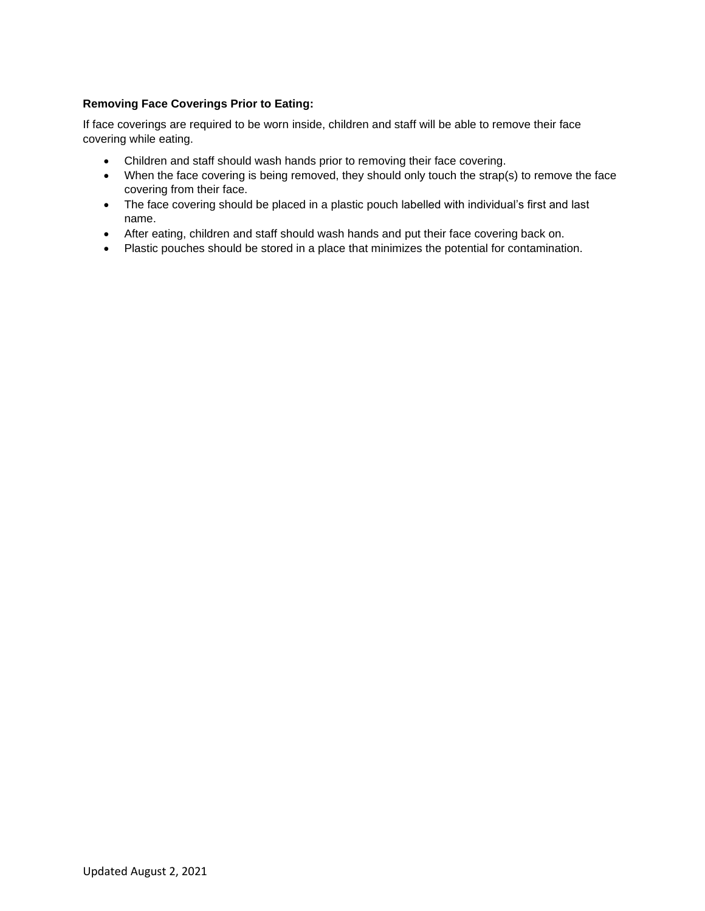### **Removing Face Coverings Prior to Eating:**

If face coverings are required to be worn inside, children and staff will be able to remove their face covering while eating.

- Children and staff should wash hands prior to removing their face covering.
- When the face covering is being removed, they should only touch the strap(s) to remove the face covering from their face.
- The face covering should be placed in a plastic pouch labelled with individual's first and last name.
- After eating, children and staff should wash hands and put their face covering back on.
- Plastic pouches should be stored in a place that minimizes the potential for contamination.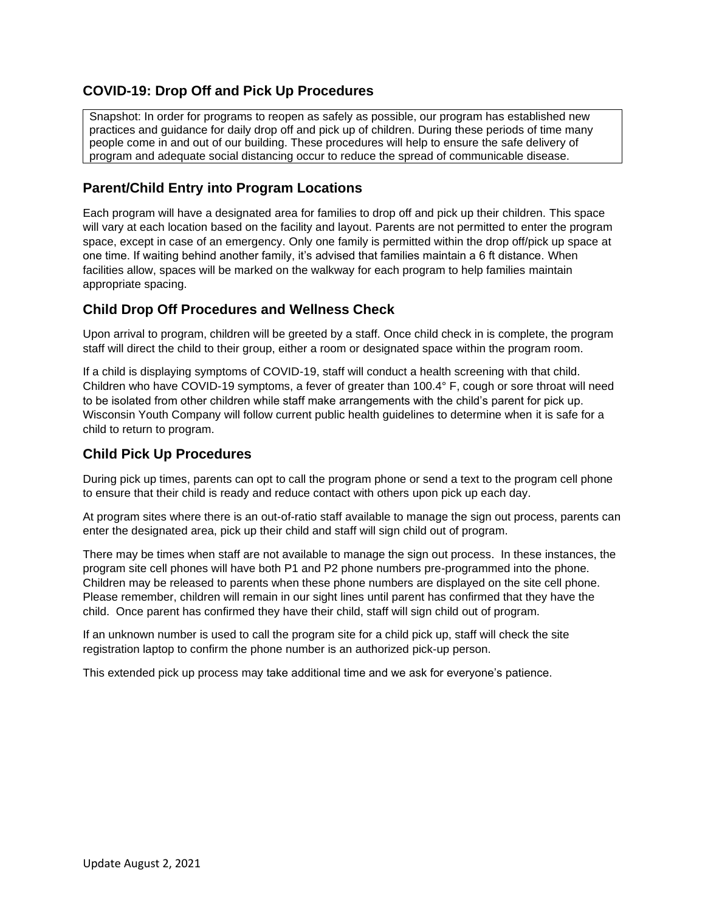## **COVID-19: Drop Off and Pick Up Procedures**

Snapshot: In order for programs to reopen as safely as possible, our program has established new practices and guidance for daily drop off and pick up of children. During these periods of time many people come in and out of our building. These procedures will help to ensure the safe delivery of program and adequate social distancing occur to reduce the spread of communicable disease.

## **Parent/Child Entry into Program Locations**

Each program will have a designated area for families to drop off and pick up their children. This space will vary at each location based on the facility and layout. Parents are not permitted to enter the program space, except in case of an emergency. Only one family is permitted within the drop off/pick up space at one time. If waiting behind another family, it's advised that families maintain a 6 ft distance. When facilities allow, spaces will be marked on the walkway for each program to help families maintain appropriate spacing.

## **Child Drop Off Procedures and Wellness Check**

Upon arrival to program, children will be greeted by a staff. Once child check in is complete, the program staff will direct the child to their group, either a room or designated space within the program room.

If a child is displaying symptoms of COVID-19, staff will conduct a health screening with that child. Children who have COVID-19 symptoms, a fever of greater than 100.4° F, cough or sore throat will need to be isolated from other children while staff make arrangements with the child's parent for pick up. Wisconsin Youth Company will follow current public health guidelines to determine when it is safe for a child to return to program.

## **Child Pick Up Procedures**

During pick up times, parents can opt to call the program phone or send a text to the program cell phone to ensure that their child is ready and reduce contact with others upon pick up each day.

At program sites where there is an out-of-ratio staff available to manage the sign out process, parents can enter the designated area, pick up their child and staff will sign child out of program.

There may be times when staff are not available to manage the sign out process. In these instances, the program site cell phones will have both P1 and P2 phone numbers pre-programmed into the phone. Children may be released to parents when these phone numbers are displayed on the site cell phone. Please remember, children will remain in our sight lines until parent has confirmed that they have the child. Once parent has confirmed they have their child, staff will sign child out of program.

If an unknown number is used to call the program site for a child pick up, staff will check the site registration laptop to confirm the phone number is an authorized pick-up person.

This extended pick up process may take additional time and we ask for everyone's patience.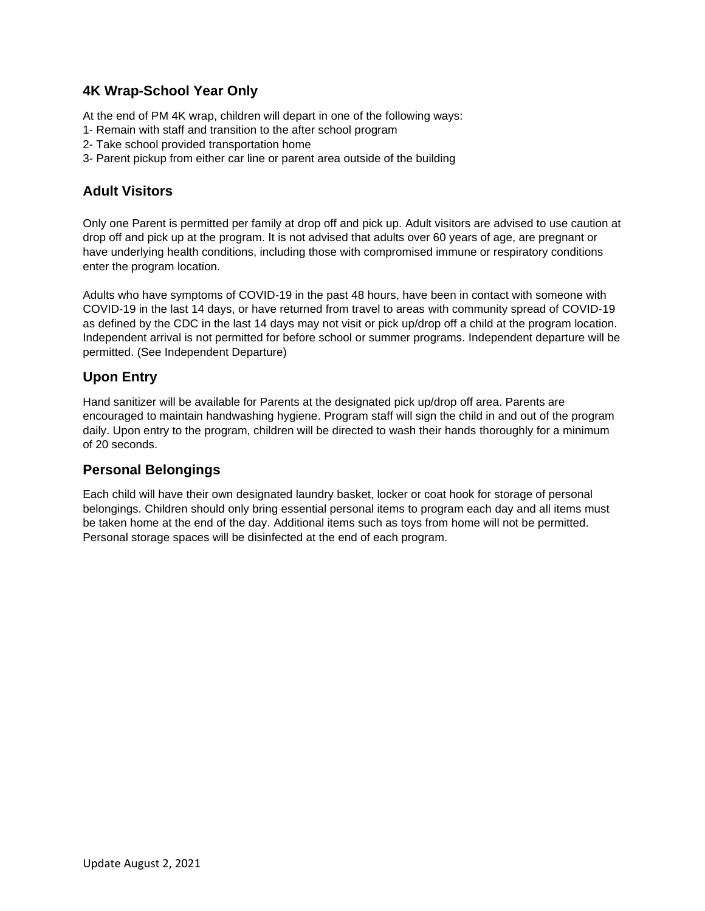## **4K Wrap-School Year Only**

At the end of PM 4K wrap, children will depart in one of the following ways:

- 1- Remain with staff and transition to the after school program
- 2- Take school provided transportation home
- 3- Parent pickup from either car line or parent area outside of the building

## **Adult Visitors**

Only one Parent is permitted per family at drop off and pick up. Adult visitors are advised to use caution at drop off and pick up at the program. It is not advised that adults over 60 years of age, are pregnant or have underlying health conditions, including those with compromised immune or respiratory conditions enter the program location.

Adults who have symptoms of COVID-19 in the past 48 hours, have been in contact with someone with COVID-19 in the last 14 days, or have returned from travel to areas with community spread of COVID-19 as defined by the CDC in the last 14 days may not visit or pick up/drop off a child at the program location. Independent arrival is not permitted for before school or summer programs. Independent departure will be permitted. (See Independent Departure)

## **Upon Entry**

Hand sanitizer will be available for Parents at the designated pick up/drop off area. Parents are encouraged to maintain handwashing hygiene. Program staff will sign the child in and out of the program daily. Upon entry to the program, children will be directed to wash their hands thoroughly for a minimum of 20 seconds.

## **Personal Belongings**

Each child will have their own designated laundry basket, locker or coat hook for storage of personal belongings. Children should only bring essential personal items to program each day and all items must be taken home at the end of the day. Additional items such as toys from home will not be permitted. Personal storage spaces will be disinfected at the end of each program.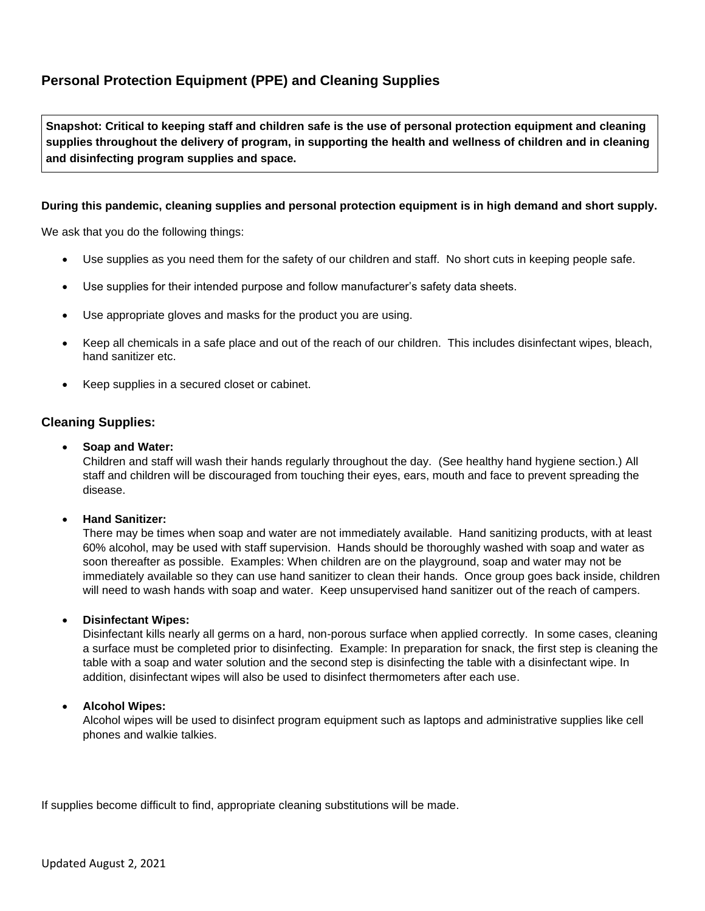# **Personal Protection Equipment (PPE) and Cleaning Supplies**

**Snapshot: Critical to keeping staff and children safe is the use of personal protection equipment and cleaning supplies throughout the delivery of program, in supporting the health and wellness of children and in cleaning and disinfecting program supplies and space.**

### **During this pandemic, cleaning supplies and personal protection equipment is in high demand and short supply.**

We ask that you do the following things:

- Use supplies as you need them for the safety of our children and staff. No short cuts in keeping people safe.
- Use supplies for their intended purpose and follow manufacturer's safety data sheets.
- Use appropriate gloves and masks for the product you are using.
- Keep all chemicals in a safe place and out of the reach of our children. This includes disinfectant wipes, bleach, hand sanitizer etc.
- Keep supplies in a secured closet or cabinet.

### **Cleaning Supplies:**

• **Soap and Water:** 

Children and staff will wash their hands regularly throughout the day. (See healthy hand hygiene section.) All staff and children will be discouraged from touching their eyes, ears, mouth and face to prevent spreading the disease.

#### • **Hand Sanitizer:**

There may be times when soap and water are not immediately available. Hand sanitizing products, with at least 60% alcohol, may be used with staff supervision. Hands should be thoroughly washed with soap and water as soon thereafter as possible. Examples: When children are on the playground, soap and water may not be immediately available so they can use hand sanitizer to clean their hands. Once group goes back inside, children will need to wash hands with soap and water. Keep unsupervised hand sanitizer out of the reach of campers.

#### • **Disinfectant Wipes:**

Disinfectant kills nearly all germs on a hard, non-porous surface when applied correctly. In some cases, cleaning a surface must be completed prior to disinfecting. Example: In preparation for snack, the first step is cleaning the table with a soap and water solution and the second step is disinfecting the table with a disinfectant wipe. In addition, disinfectant wipes will also be used to disinfect thermometers after each use.

#### • **Alcohol Wipes:**

Alcohol wipes will be used to disinfect program equipment such as laptops and administrative supplies like cell phones and walkie talkies.

If supplies become difficult to find, appropriate cleaning substitutions will be made.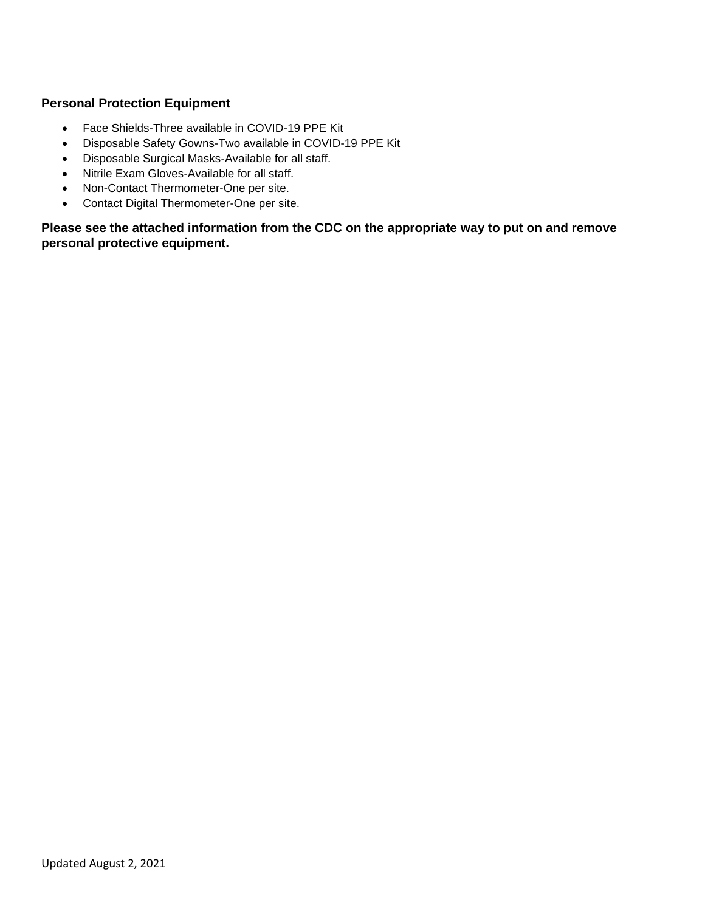## **Personal Protection Equipment**

- Face Shields-Three available in COVID-19 PPE Kit
- Disposable Safety Gowns-Two available in COVID-19 PPE Kit
- Disposable Surgical Masks-Available for all staff.
- Nitrile Exam Gloves-Available for all staff.
- Non-Contact Thermometer-One per site.
- Contact Digital Thermometer-One per site.

**Please see the attached information from the CDC on the appropriate way to put on and remove personal protective equipment.**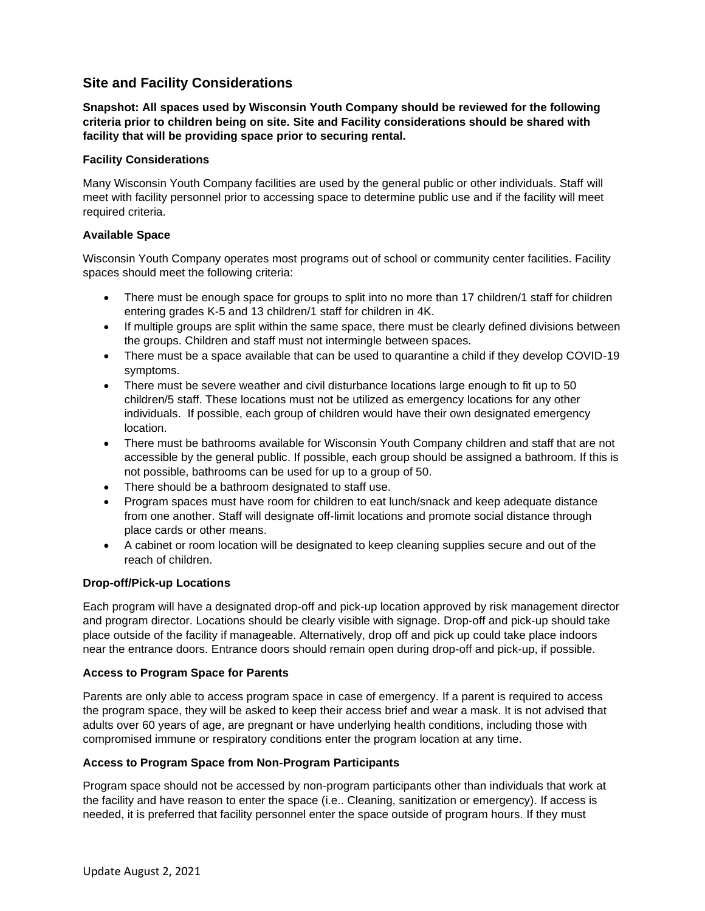## **Site and Facility Considerations**

**Snapshot: All spaces used by Wisconsin Youth Company should be reviewed for the following criteria prior to children being on site. Site and Facility considerations should be shared with facility that will be providing space prior to securing rental.**

#### **Facility Considerations**

Many Wisconsin Youth Company facilities are used by the general public or other individuals. Staff will meet with facility personnel prior to accessing space to determine public use and if the facility will meet required criteria.

### **Available Space**

Wisconsin Youth Company operates most programs out of school or community center facilities. Facility spaces should meet the following criteria:

- There must be enough space for groups to split into no more than 17 children/1 staff for children entering grades K-5 and 13 children/1 staff for children in 4K.
- If multiple groups are split within the same space, there must be clearly defined divisions between the groups. Children and staff must not intermingle between spaces.
- There must be a space available that can be used to quarantine a child if they develop COVID-19 symptoms.
- There must be severe weather and civil disturbance locations large enough to fit up to 50 children/5 staff. These locations must not be utilized as emergency locations for any other individuals. If possible, each group of children would have their own designated emergency location.
- There must be bathrooms available for Wisconsin Youth Company children and staff that are not accessible by the general public. If possible, each group should be assigned a bathroom. If this is not possible, bathrooms can be used for up to a group of 50.
- There should be a bathroom designated to staff use.
- Program spaces must have room for children to eat lunch/snack and keep adequate distance from one another. Staff will designate off-limit locations and promote social distance through place cards or other means.
- A cabinet or room location will be designated to keep cleaning supplies secure and out of the reach of children.

### **Drop-off/Pick-up Locations**

Each program will have a designated drop-off and pick-up location approved by risk management director and program director. Locations should be clearly visible with signage. Drop-off and pick-up should take place outside of the facility if manageable. Alternatively, drop off and pick up could take place indoors near the entrance doors. Entrance doors should remain open during drop-off and pick-up, if possible.

### **Access to Program Space for Parents**

Parents are only able to access program space in case of emergency. If a parent is required to access the program space, they will be asked to keep their access brief and wear a mask. It is not advised that adults over 60 years of age, are pregnant or have underlying health conditions, including those with compromised immune or respiratory conditions enter the program location at any time.

### **Access to Program Space from Non-Program Participants**

Program space should not be accessed by non-program participants other than individuals that work at the facility and have reason to enter the space (i.e.. Cleaning, sanitization or emergency). If access is needed, it is preferred that facility personnel enter the space outside of program hours. If they must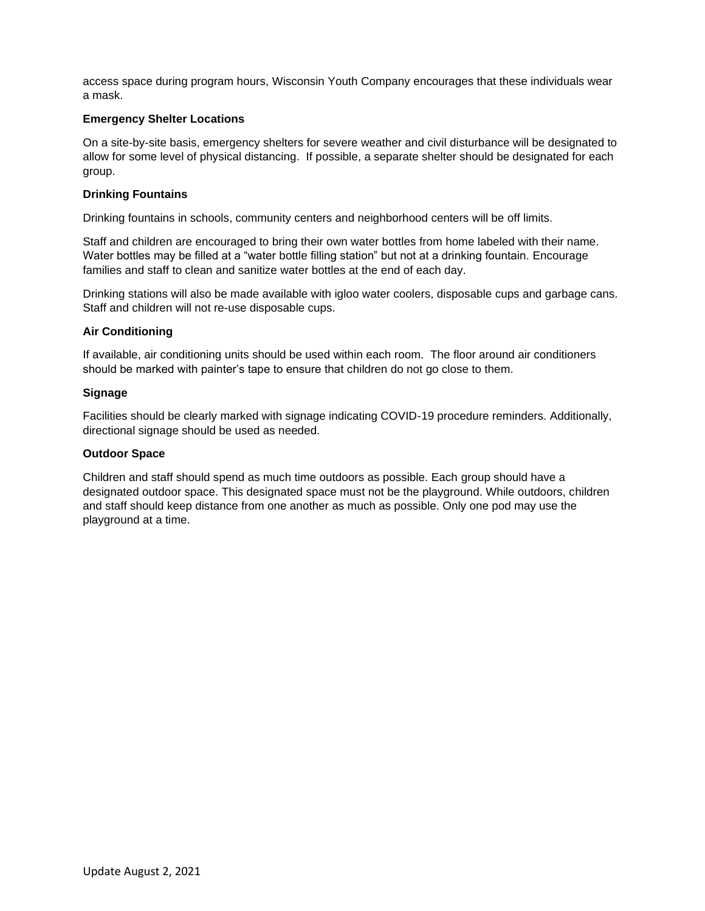access space during program hours, Wisconsin Youth Company encourages that these individuals wear a mask.

#### **Emergency Shelter Locations**

On a site-by-site basis, emergency shelters for severe weather and civil disturbance will be designated to allow for some level of physical distancing. If possible, a separate shelter should be designated for each group.

#### **Drinking Fountains**

Drinking fountains in schools, community centers and neighborhood centers will be off limits.

Staff and children are encouraged to bring their own water bottles from home labeled with their name. Water bottles may be filled at a "water bottle filling station" but not at a drinking fountain. Encourage families and staff to clean and sanitize water bottles at the end of each day.

Drinking stations will also be made available with igloo water coolers, disposable cups and garbage cans. Staff and children will not re-use disposable cups.

### **Air Conditioning**

If available, air conditioning units should be used within each room. The floor around air conditioners should be marked with painter's tape to ensure that children do not go close to them.

#### **Signage**

Facilities should be clearly marked with signage indicating COVID-19 procedure reminders. Additionally, directional signage should be used as needed.

#### **Outdoor Space**

Children and staff should spend as much time outdoors as possible. Each group should have a designated outdoor space. This designated space must not be the playground. While outdoors, children and staff should keep distance from one another as much as possible. Only one pod may use the playground at a time.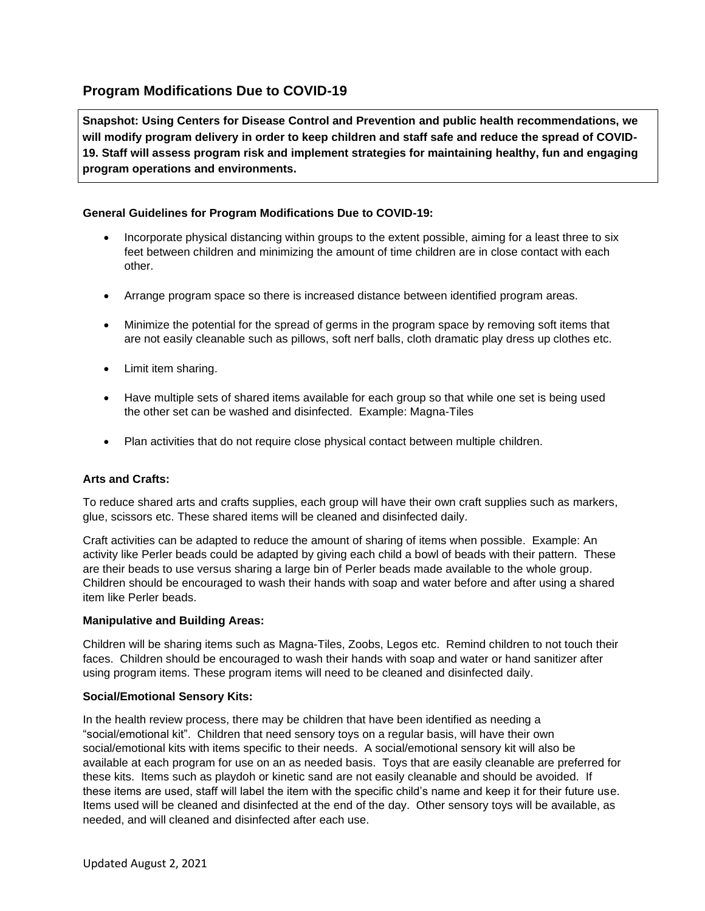## **Program Modifications Due to COVID-19**

**Snapshot: Using Centers for Disease Control and Prevention and public health recommendations, we will modify program delivery in order to keep children and staff safe and reduce the spread of COVID-19. Staff will assess program risk and implement strategies for maintaining healthy, fun and engaging program operations and environments.** 

### **General Guidelines for Program Modifications Due to COVID-19:**

- Incorporate physical distancing within groups to the extent possible, aiming for a least three to six feet between children and minimizing the amount of time children are in close contact with each other.
- Arrange program space so there is increased distance between identified program areas.
- Minimize the potential for the spread of germs in the program space by removing soft items that are not easily cleanable such as pillows, soft nerf balls, cloth dramatic play dress up clothes etc.
- Limit item sharing.
- Have multiple sets of shared items available for each group so that while one set is being used the other set can be washed and disinfected. Example: Magna-Tiles
- Plan activities that do not require close physical contact between multiple children.

### **Arts and Crafts:**

To reduce shared arts and crafts supplies, each group will have their own craft supplies such as markers, glue, scissors etc. These shared items will be cleaned and disinfected daily.

Craft activities can be adapted to reduce the amount of sharing of items when possible. Example: An activity like Perler beads could be adapted by giving each child a bowl of beads with their pattern. These are their beads to use versus sharing a large bin of Perler beads made available to the whole group. Children should be encouraged to wash their hands with soap and water before and after using a shared item like Perler beads.

#### **Manipulative and Building Areas:**

Children will be sharing items such as Magna-Tiles, Zoobs, Legos etc. Remind children to not touch their faces. Children should be encouraged to wash their hands with soap and water or hand sanitizer after using program items. These program items will need to be cleaned and disinfected daily.

#### **Social/Emotional Sensory Kits:**

In the health review process, there may be children that have been identified as needing a "social/emotional kit". Children that need sensory toys on a regular basis, will have their own social/emotional kits with items specific to their needs. A social/emotional sensory kit will also be available at each program for use on an as needed basis. Toys that are easily cleanable are preferred for these kits. Items such as playdoh or kinetic sand are not easily cleanable and should be avoided. If these items are used, staff will label the item with the specific child's name and keep it for their future use. Items used will be cleaned and disinfected at the end of the day. Other sensory toys will be available, as needed, and will cleaned and disinfected after each use.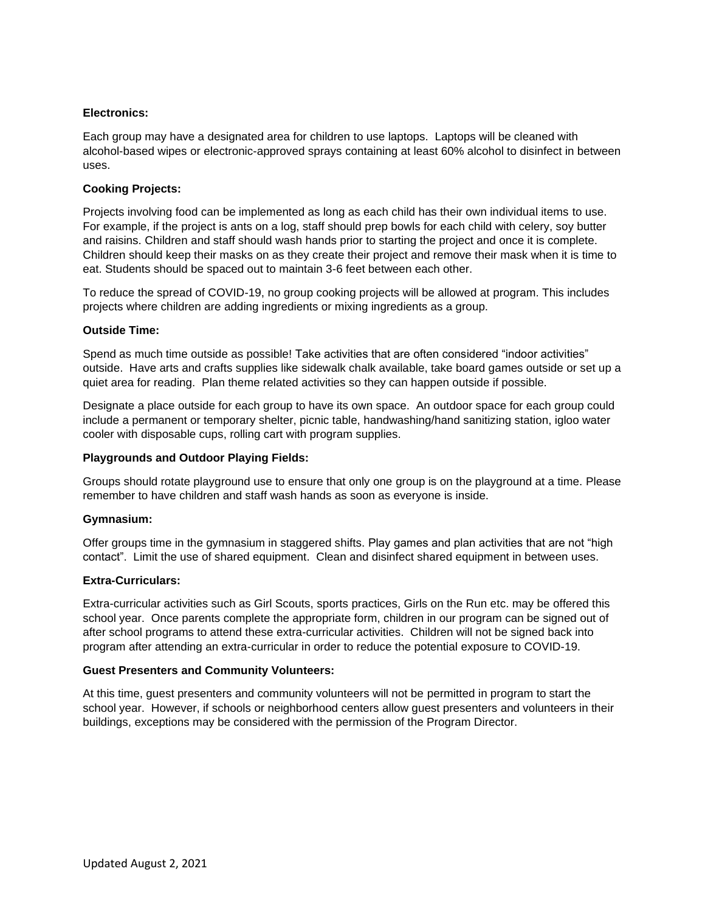#### **Electronics:**

Each group may have a designated area for children to use laptops. Laptops will be cleaned with alcohol-based wipes or electronic-approved sprays containing at least 60% alcohol to disinfect in between uses.

#### **Cooking Projects:**

Projects involving food can be implemented as long as each child has their own individual items to use. For example, if the project is ants on a log, staff should prep bowls for each child with celery, soy butter and raisins. Children and staff should wash hands prior to starting the project and once it is complete. Children should keep their masks on as they create their project and remove their mask when it is time to eat. Students should be spaced out to maintain 3-6 feet between each other.

To reduce the spread of COVID-19, no group cooking projects will be allowed at program. This includes projects where children are adding ingredients or mixing ingredients as a group.

#### **Outside Time:**

Spend as much time outside as possible! Take activities that are often considered "indoor activities" outside. Have arts and crafts supplies like sidewalk chalk available, take board games outside or set up a quiet area for reading. Plan theme related activities so they can happen outside if possible.

Designate a place outside for each group to have its own space. An outdoor space for each group could include a permanent or temporary shelter, picnic table, handwashing/hand sanitizing station, igloo water cooler with disposable cups, rolling cart with program supplies.

#### **Playgrounds and Outdoor Playing Fields:**

Groups should rotate playground use to ensure that only one group is on the playground at a time. Please remember to have children and staff wash hands as soon as everyone is inside.

#### **Gymnasium:**

Offer groups time in the gymnasium in staggered shifts. Play games and plan activities that are not "high contact". Limit the use of shared equipment. Clean and disinfect shared equipment in between uses.

#### **Extra-Curriculars:**

Extra-curricular activities such as Girl Scouts, sports practices, Girls on the Run etc. may be offered this school year. Once parents complete the appropriate form, children in our program can be signed out of after school programs to attend these extra-curricular activities. Children will not be signed back into program after attending an extra-curricular in order to reduce the potential exposure to COVID-19.

#### **Guest Presenters and Community Volunteers:**

At this time, guest presenters and community volunteers will not be permitted in program to start the school year. However, if schools or neighborhood centers allow guest presenters and volunteers in their buildings, exceptions may be considered with the permission of the Program Director.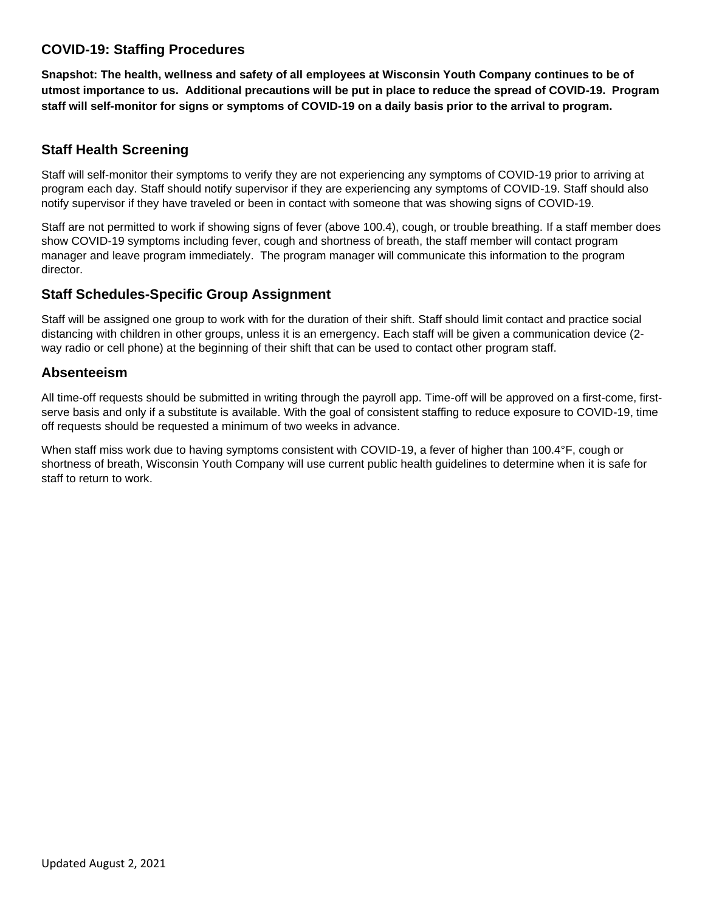## **COVID-19: Staffing Procedures**

**Snapshot: The health, wellness and safety of all employees at Wisconsin Youth Company continues to be of utmost importance to us. Additional precautions will be put in place to reduce the spread of COVID-19. Program staff will self-monitor for signs or symptoms of COVID-19 on a daily basis prior to the arrival to program.**

### **Staff Health Screening**

Staff will self-monitor their symptoms to verify they are not experiencing any symptoms of COVID-19 prior to arriving at program each day. Staff should notify supervisor if they are experiencing any symptoms of COVID-19. Staff should also notify supervisor if they have traveled or been in contact with someone that was showing signs of COVID-19.

Staff are not permitted to work if showing signs of fever (above 100.4), cough, or trouble breathing. If a staff member does show COVID-19 symptoms including fever, cough and shortness of breath, the staff member will contact program manager and leave program immediately. The program manager will communicate this information to the program director.

### **Staff Schedules-Specific Group Assignment**

Staff will be assigned one group to work with for the duration of their shift. Staff should limit contact and practice social distancing with children in other groups, unless it is an emergency. Each staff will be given a communication device (2 way radio or cell phone) at the beginning of their shift that can be used to contact other program staff.

### **Absenteeism**

All time-off requests should be submitted in writing through the payroll app. Time-off will be approved on a first-come, firstserve basis and only if a substitute is available. With the goal of consistent staffing to reduce exposure to COVID-19, time off requests should be requested a minimum of two weeks in advance.

When staff miss work due to having symptoms consistent with COVID-19, a fever of higher than 100.4°F, cough or shortness of breath, Wisconsin Youth Company will use current public health guidelines to determine when it is safe for staff to return to work.